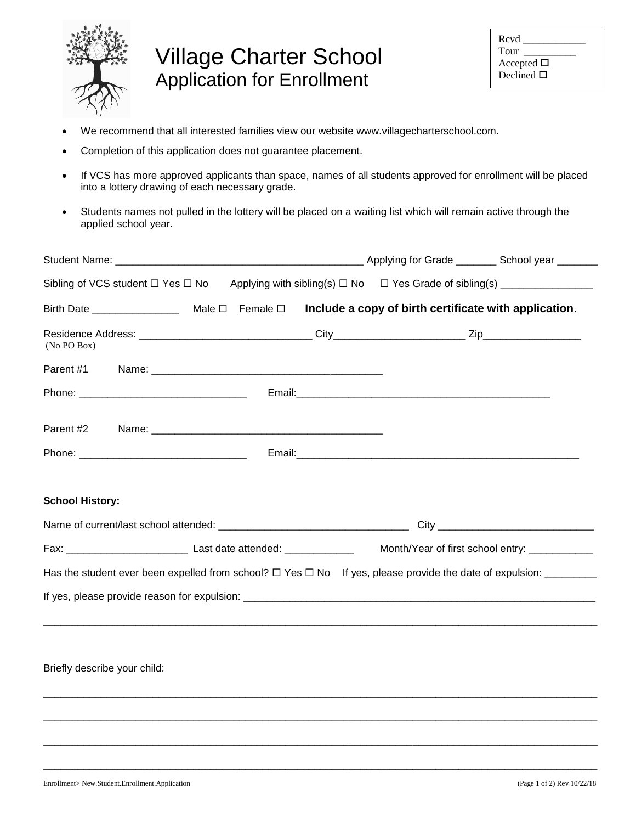

## Village Charter School Application for Enrollment

| Rcvd<br>Tour    |  |
|-----------------|--|
| Accepted $\Box$ |  |
| Declined $\Box$ |  |

- We recommend that all interested families view our website www.villagecharterschool.com.
- Completion of this application does not guarantee placement.
- If VCS has more approved applicants than space, names of all students approved for enrollment will be placed into a lottery drawing of each necessary grade.
- Students names not pulled in the lottery will be placed on a waiting list which will remain active through the applied school year.

| (No PO Box)                                                                                                                  |  |  |  |  |
|------------------------------------------------------------------------------------------------------------------------------|--|--|--|--|
|                                                                                                                              |  |  |  |  |
|                                                                                                                              |  |  |  |  |
|                                                                                                                              |  |  |  |  |
|                                                                                                                              |  |  |  |  |
| <b>School History:</b>                                                                                                       |  |  |  |  |
|                                                                                                                              |  |  |  |  |
| Has the student ever been expelled from school? $\Box$ Yes $\Box$ No If yes, please provide the date of expulsion: _________ |  |  |  |  |
|                                                                                                                              |  |  |  |  |
| Briefly describe your child:                                                                                                 |  |  |  |  |
|                                                                                                                              |  |  |  |  |
|                                                                                                                              |  |  |  |  |
|                                                                                                                              |  |  |  |  |

\_\_\_\_\_\_\_\_\_\_\_\_\_\_\_\_\_\_\_\_\_\_\_\_\_\_\_\_\_\_\_\_\_\_\_\_\_\_\_\_\_\_\_\_\_\_\_\_\_\_\_\_\_\_\_\_\_\_\_\_\_\_\_\_\_\_\_\_\_\_\_\_\_\_\_\_\_\_\_\_\_\_\_\_\_\_\_\_\_\_\_\_\_\_\_\_